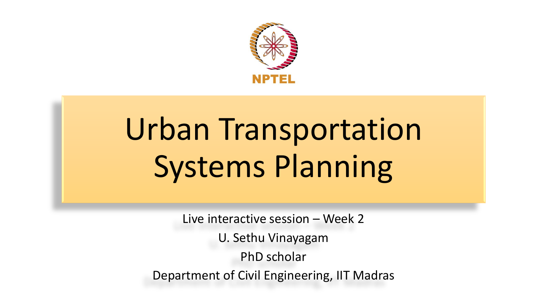

# Urban Transportation Systems Planning

Live interactive session – Week 2 U. Sethu Vinayagam PhD scholar Department of Civil Engineering, IIT Madras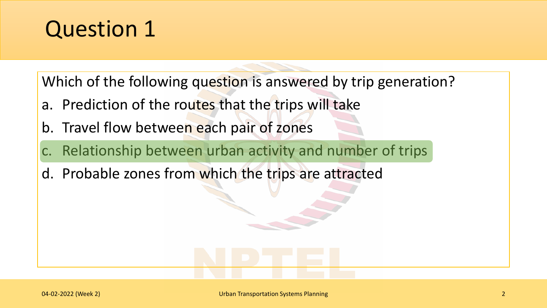Which of the following question is answered by trip generation?

- a. Prediction of the routes that the trips will take
- b. Travel flow between each pair of zones
- Relationship between urban activity and number of trips
- d. Probable zones from which the trips are attracted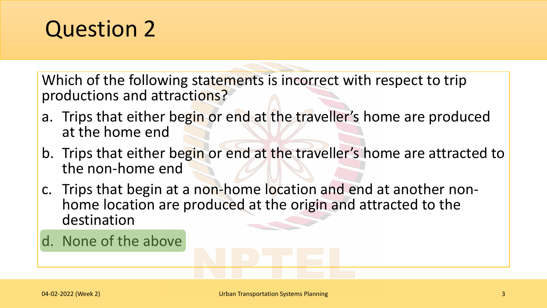Which of the following statements is incorrect with respect to trip productions and attractions?

- a. Trips that either begin or end at the traveller's home are produced at the home end
- b. Trips that either begin or end at the traveller's home are attracted to the non-home end
- c. Trips that begin at a non-home location and end at another nonhome location are produced at the origin and attracted to the destination
- d. None of the above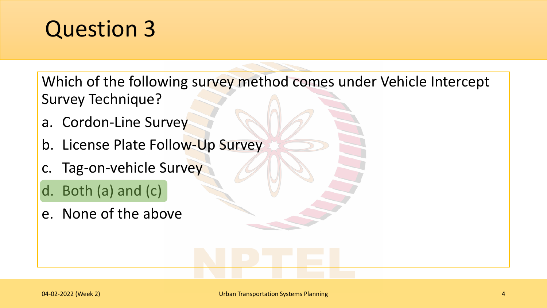Which of the following survey method comes under Vehicle Intercept Survey Technique?

- a. Cordon-Line Survey
- b. License Plate Follow-Up Survey
- c. Tag-on-vehicle Survey
- d. Both (a) and (c)
- e. None of the above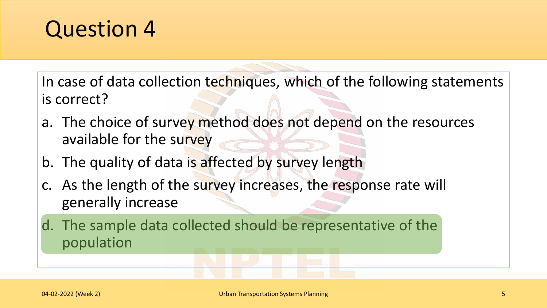In case of data collection techniques, which of the following statements is correct?

- a. The choice of survey method does not depend on the resources available for the survey
- b. The quality of data is affected by survey length
- c. As the length of the survey increases, the response rate will generally increase

d. The sample data collected should be representative of the population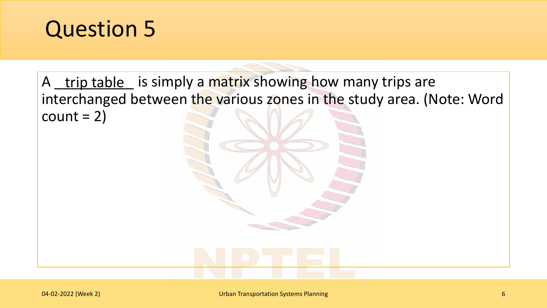

A <u>trip table</u> is simply a matrix showing how many trips are interchanged between the various zones in the study area. (Note: Word  $count = 2)$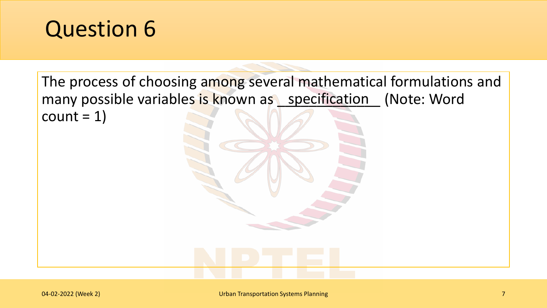The process of choosing among several mathematical formulations and many possible variables is known as specification (Note: Word  $count = 1$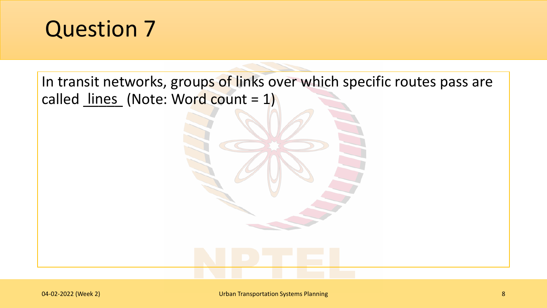In transit networks, groups of links over which specific routes pass are called <u>lines</u> (Note: Word count = 1)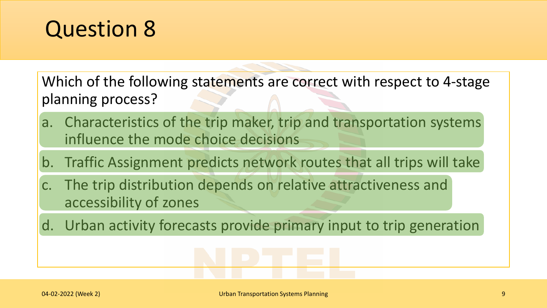Which of the following statements are correct with respect to 4-stage planning process?

- a. Characteristics of the trip maker, trip and transportation systems influence the mode choice decisions
- b. Traffic Assignment predicts network routes that all trips will take
- c. The trip distribution depends on relative attractiveness and accessibility of zones
- d. Urban activity forecasts provide primary input to trip generation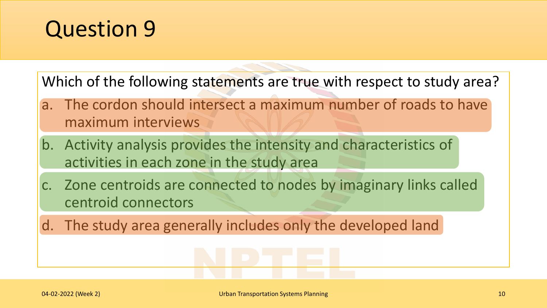Which of the following statements are true with respect to study area?

- a. The cordon should intersect a maximum number of roads to have maximum interviews
- b. Activity analysis provides the intensity and characteristics of activities in each zone in the study area
- c. Zone centroids are connected to nodes by imaginary links called centroid connectors
- d. The study area generally includes only the developed land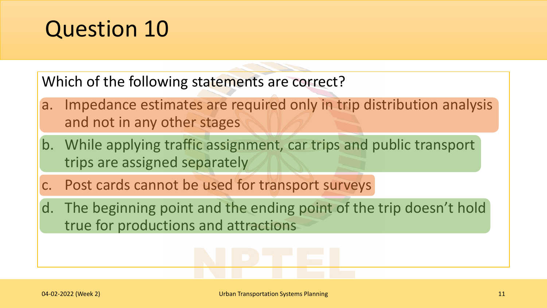Which of the following statements are correct?

- a. Impedance estimates are required only in trip distribution analysis and not in any other stages
- b. While applying traffic assignment, car trips and public transport trips are assigned separately
- c. Post cards cannot be used for transport surveys
- d. The beginning point and the ending point of the trip doesn't hold true for productions and attractions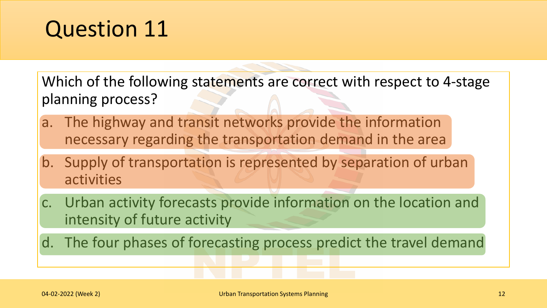Which of the following statements are correct with respect to 4-stage planning process?

- a. The highway and transit networks provide the information necessary regarding the transportation demand in the area
- b. Supply of transportation is represented by separation of urban activities
- c. Urban activity forecasts provide information on the location and intensity of future activity
- d. The four phases of forecasting process predict the travel demand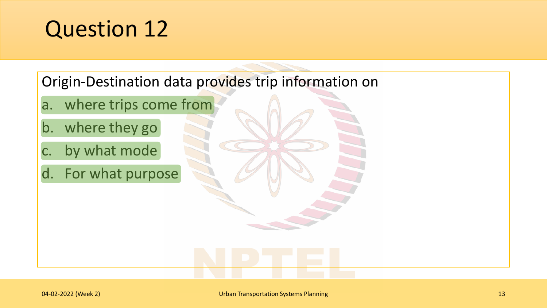Origin-Destination data provides trip information on

- a. where trips come from
- b. where they go
- c. by what mode
- d. For what purpose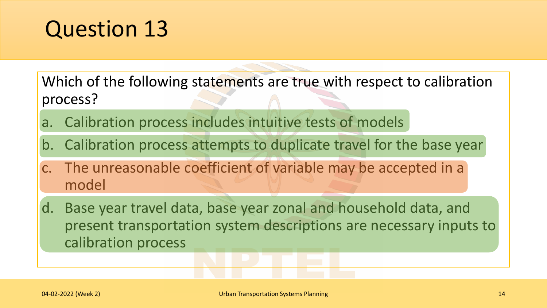Which of the following statements are true with respect to calibration process?

- a. Calibration process includes intuitive tests of models
- b. Calibration process attempts to duplicate travel for the base year
- c. The unreasonable coefficient of variable may be accepted in a model
- d. Base year travel data, base year zonal and household data, and present transportation system descriptions are necessary inputs to calibration process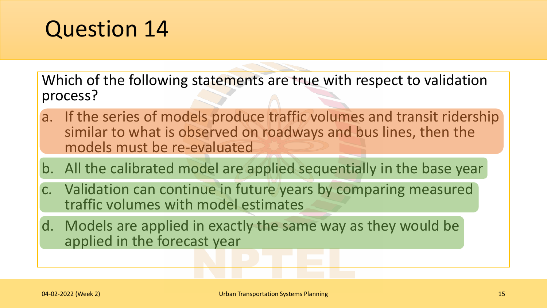Which of the following statements are true with respect to validation process?

- a. If the series of models produce traffic volumes and transit ridership similar to what is observed on roadways and bus lines, then the models must be re-evaluated
- b. All the calibrated model are applied sequentially in the base year
- c. Validation can continue in future years by comparing measured traffic volumes with model estimates
- d. Models are applied in exactly the same way as they would be applied in the forecast year